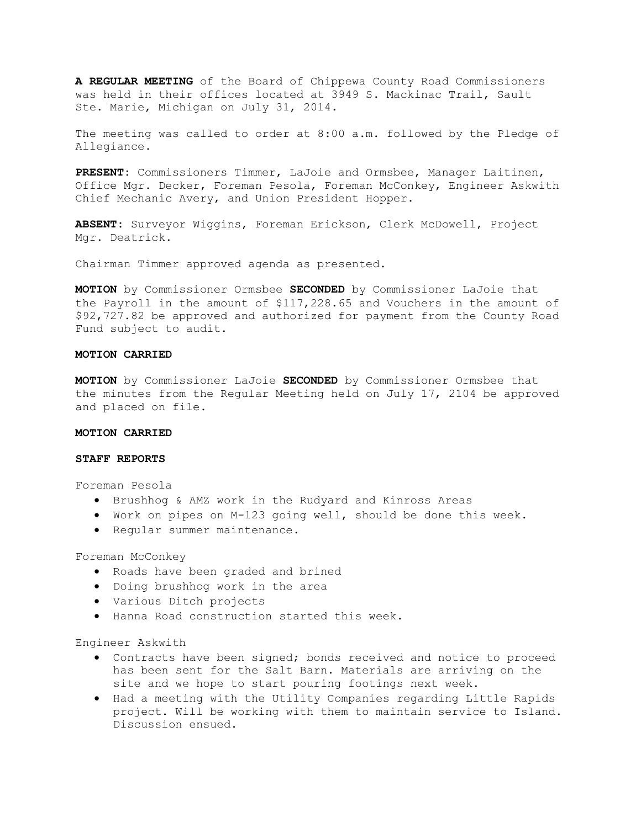**A REGULAR MEETING** of the Board of Chippewa County Road Commissioners was held in their offices located at 3949 S. Mackinac Trail, Sault Ste. Marie, Michigan on July 31, 2014.

The meeting was called to order at 8:00 a.m. followed by the Pledge of Allegiance.

**PRESENT:** Commissioners Timmer, LaJoie and Ormsbee, Manager Laitinen, Office Mgr. Decker, Foreman Pesola, Foreman McConkey, Engineer Askwith Chief Mechanic Avery, and Union President Hopper.

**ABSENT:** Surveyor Wiggins, Foreman Erickson, Clerk McDowell, Project Mgr. Deatrick.

Chairman Timmer approved agenda as presented.

**MOTION** by Commissioner Ormsbee **SECONDED** by Commissioner LaJoie that the Payroll in the amount of \$117,228.65 and Vouchers in the amount of \$92,727.82 be approved and authorized for payment from the County Road Fund subject to audit.

## **MOTION CARRIED**

**MOTION** by Commissioner LaJoie **SECONDED** by Commissioner Ormsbee that the minutes from the Regular Meeting held on July 17, 2104 be approved and placed on file.

### **MOTION CARRIED**

### **STAFF REPORTS**

Foreman Pesola

- · Brushhog & AMZ work in the Rudyard and Kinross Areas
- · Work on pipes on M-123 going well, should be done this week.
- · Regular summer maintenance.

Foreman McConkey

- · Roads have been graded and brined
- · Doing brushhog work in the area
- · Various Ditch projects
- · Hanna Road construction started this week.

Engineer Askwith

- · Contracts have been signed; bonds received and notice to proceed has been sent for the Salt Barn. Materials are arriving on the site and we hope to start pouring footings next week.
- · Had a meeting with the Utility Companies regarding Little Rapids project. Will be working with them to maintain service to Island. Discussion ensued.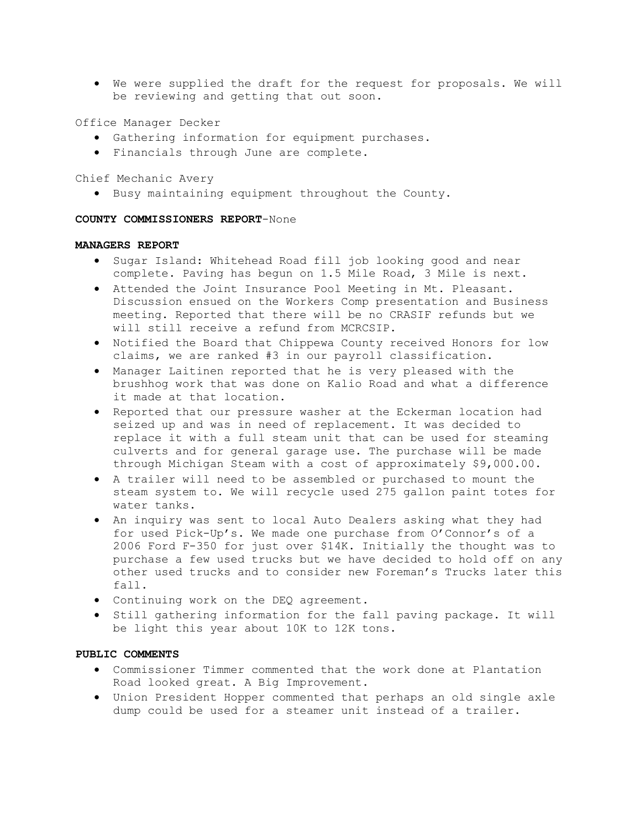· We were supplied the draft for the request for proposals. We will be reviewing and getting that out soon.

Office Manager Decker

- · Gathering information for equipment purchases.
- · Financials through June are complete.

Chief Mechanic Avery

· Busy maintaining equipment throughout the County.

## **COUNTY COMMISSIONERS REPORT**-None

# **MANAGERS REPORT**

- · Sugar Island: Whitehead Road fill job looking good and near complete. Paving has begun on 1.5 Mile Road, 3 Mile is next.
- · Attended the Joint Insurance Pool Meeting in Mt. Pleasant. Discussion ensued on the Workers Comp presentation and Business meeting. Reported that there will be no CRASIF refunds but we will still receive a refund from MCRCSIP.
- · Notified the Board that Chippewa County received Honors for low claims, we are ranked #3 in our payroll classification.
- · Manager Laitinen reported that he is very pleased with the brushhog work that was done on Kalio Road and what a difference it made at that location.
- · Reported that our pressure washer at the Eckerman location had seized up and was in need of replacement. It was decided to replace it with a full steam unit that can be used for steaming culverts and for general garage use. The purchase will be made through Michigan Steam with a cost of approximately \$9,000.00.
- · A trailer will need to be assembled or purchased to mount the steam system to. We will recycle used 275 gallon paint totes for water tanks.
- · An inquiry was sent to local Auto Dealers asking what they had for used Pick-Up's. We made one purchase from O'Connor's of a 2006 Ford F-350 for just over \$14K. Initially the thought was to purchase a few used trucks but we have decided to hold off on any other used trucks and to consider new Foreman's Trucks later this fall.
- · Continuing work on the DEQ agreement.
- · Still gathering information for the fall paving package. It will be light this year about 10K to 12K tons.

# **PUBLIC COMMENTS**

- · Commissioner Timmer commented that the work done at Plantation Road looked great. A Big Improvement.
- · Union President Hopper commented that perhaps an old single axle dump could be used for a steamer unit instead of a trailer.